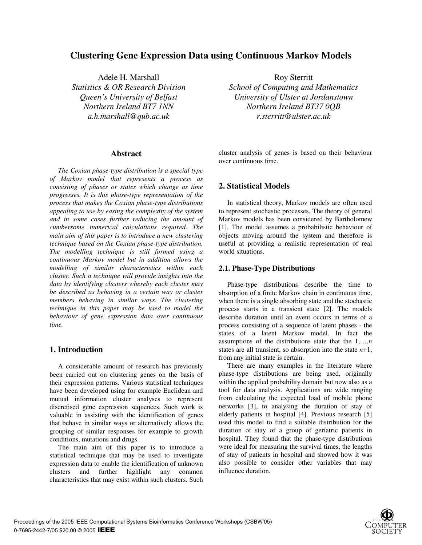# **Clustering Gene Expression Data using Continuous Markov Models**

Adele H. Marshall Roy Sterritt *Statistics & OR Research Division Queen's University of Belfast Northern Ireland BT7 1NN a.h.marshall@qub.ac.uk*

### **Abstract**

*The Coxian phase-type distribution is a special type of Markov model that represents a process as consisting of phases or states which change as time progresses. It is this phase-type representation of the process that makes the Coxian phase-type distributions appealing to use by easing the complexity of the system and in some cases further reducing the amount of cumbersome numerical calculations required. The main aim of this paper is to introduce a new clustering technique based on the Coxian phase-type distribution. The modelling technique is still formed using a continuous Markov model but in addition allows the modelling of similar characteristics within each cluster. Such a technique will provide insights into the data by identifying clusters whereby each cluster may be described as behaving in a certain way or cluster members behaving in similar ways. The clustering technique in this paper may be used to model the behaviour of gene expression data over continuous time.*

## **1. Introduction**

A considerable amount of research has previously been carried out on clustering genes on the basis of their expression patterns. Various statistical techniques have been developed using for example Euclidean and mutual information cluster analyses to represent discretised gene expression sequences. Such work is valuable in assisting with the identification of genes that behave in similar ways or alternatively allows the grouping of similar responses for example to growth conditions, mutations and drugs.

The main aim of this paper is to introduce a statistical technique that may be used to investigate expression data to enable the identification of unknown clusters and further highlight any common characteristics that may exist within such clusters. Such

*School of Computing and Mathematics University of Ulster at Jordanstown Northern Ireland BT37 0QB r.sterritt@ulster.ac.uk*

cluster analysis of genes is based on their behaviour over continuous time.

# **2. Statistical Models**

In statistical theory, Markov models are often used to represent stochastic processes. The theory of general Markov models has been considered by Bartholomew [1]. The model assumes a probabilistic behaviour of objects moving around the system and therefore is useful at providing a realistic representation of real world situations.

#### **2.1. Phase-Type Distributions**

Phase-type distributions describe the time to absorption of a finite Markov chain in continuous time, when there is a single absorbing state and the stochastic process starts in a transient state [2]. The models describe duration until an event occurs in terms of a process consisting of a sequence of latent phases - the states of a latent Markov model. In fact the assumptions of the distributions state that the 1,…,*n* states are all transient, so absorption into the state *n*+1, from any initial state is certain.

There are many examples in the literature where phase-type distributions are being used, originally within the applied probability domain but now also as a tool for data analysis. Applications are wide ranging from calculating the expected load of mobile phone networks [3], to analysing the duration of stay of elderly patients in hospital [4]. Previous research [5] used this model to find a suitable distribution for the duration of stay of a group of geriatric patients in hospital. They found that the phase-type distributions were ideal for measuring the survival times, the lengths of stay of patients in hospital and showed how it was also possible to consider other variables that may influence duration.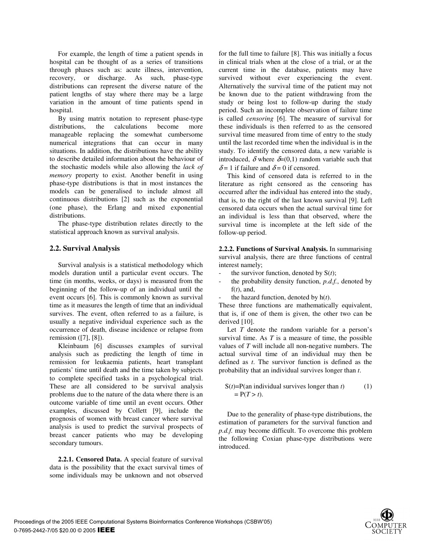For example, the length of time a patient spends in hospital can be thought of as a series of transitions through phases such as: acute illness, intervention, recovery, or discharge. As such, phase-type distributions can represent the diverse nature of the patient lengths of stay where there may be a large variation in the amount of time patients spend in hospital.

By using matrix notation to represent phase-type distributions, the calculations become more manageable replacing the somewhat cumbersome numerical integrations that can occur in many situations. In addition, the distributions have the ability to describe detailed information about the behaviour of the stochastic models while also allowing the *lack of memory* property to exist. Another benefit in using phase-type distributions is that in most instances the models can be generalised to include almost all continuous distributions [2] such as the exponential (one phase), the Erlang and mixed exponential distributions.

The phase-type distribution relates directly to the statistical approach known as survival analysis.

### **2.2. Survival Analysis**

Survival analysis is a statistical methodology which models duration until a particular event occurs. The time (in months, weeks, or days) is measured from the beginning of the follow-up of an individual until the event occurs [6]. This is commonly known as survival time as it measures the length of time that an individual survives. The event, often referred to as a failure, is usually a negative individual experience such as the occurrence of death, disease incidence or relapse from remission ([7], [8]).

Kleinbaum [6] discusses examples of survival analysis such as predicting the length of time in remission for leukaemia patients, heart transplant patients' time until death and the time taken by subjects to complete specified tasks in a psychological trial. These are all considered to be survival analysis problems due to the nature of the data where there is an outcome variable of time until an event occurs. Other examples, discussed by Collett [9], include the prognosis of women with breast cancer where survival analysis is used to predict the survival prospects of breast cancer patients who may be developing secondary tumours.

**2.2.1. Censored Data.** A special feature of survival data is the possibility that the exact survival times of some individuals may be unknown and not observed

for the full time to failure [8]. This was initially a focus in clinical trials when at the close of a trial, or at the current time in the database, patients may have survived without ever experiencing the event. Alternatively the survival time of the patient may not be known due to the patient withdrawing from the study or being lost to follow-up during the study period. Such an incomplete observation of failure time is called *censoring* [6]. The measure of survival for these individuals is then referred to as the censored survival time measured from time of entry to the study until the last recorded time when the individual is in the study. To identify the censored data, a new variable is introduced,  $\delta$  where  $\delta$ =(0,1) random variable such that  $\delta$  = 1 if failure and  $\delta$  = 0 if censored.

This kind of censored data is referred to in the literature as right censored as the censoring has occurred after the individual has entered into the study, that is, to the right of the last known survival [9]. Left censored data occurs when the actual survival time for an individual is less than that observed, where the survival time is incomplete at the left side of the follow-up period.

**2.2.2. Functions of Survival Analysis.** In summarising survival analysis, there are three functions of central interest namely;

- the survivor function, denoted by S(*t*);
- the probability density function,  $p.d.f.$ , denoted by f(*t*), and,
- the hazard function, denoted by  $h(t)$ .

These three functions are mathematically equivalent, that is, if one of them is given, the other two can be derived [10].

Let *T* denote the random variable for a person's survival time. As *T* is a measure of time, the possible values of *T* will include all non-negative numbers. The actual survival time of an individual may then be defined as *t*. The survivor function is defined as the probability that an individual survives longer than *t*.

$$
S(t)=P(\text{an individual survives longer than } t)
$$
  
= P(T > t). (1)

Due to the generality of phase-type distributions, the estimation of parameters for the survival function and *p.d.f.* may become difficult. To overcome this problem the following Coxian phase-type distributions were introduced.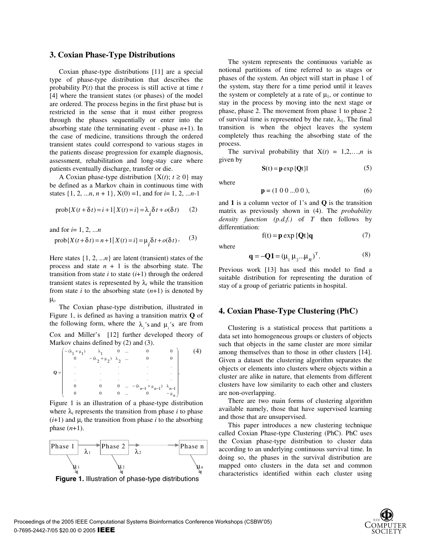#### **3. Coxian Phase-Type Distributions**

Coxian phase-type distributions [11] are a special type of phase-type distribution that describes the probability P(*t*) that the process is still active at time *t* [4] where the transient states (or phases) of the model are ordered. The process begins in the first phase but is restricted in the sense that it must either progress through the phases sequentially or enter into the absorbing state (the terminating event - phase *n*+1). In the case of medicine, transitions through the ordered transient states could correspond to various stages in the patients disease progression for example diagnosis, assessment, rehabilitation and long-stay care where patients eventually discharge, transfer or die.

A Coxian phase-type distribution  $\{X(t); t \ge 0\}$  may be defined as a Markov chain in continuous time with states  $\{1, 2, ..., n, n + 1\}$ ,  $X(0) = 1$ , and for  $i = 1, 2, ... n-1$ 

$$
\text{prob}\{X(t+\delta t) = i+1 | X(t) = i\} = \lambda_i \delta t + o(\delta t) \qquad (2)
$$

and for *i*= 1, 2, ...*n*

$$
\text{prob}\{X(t+\delta t) = n+1 | X(t) = i\} = \mu_i \delta t + o(\delta t). \tag{3}
$$

Here states  $\{1, 2, \ldots n\}$  are latent (transient) states of the process and state  $n + 1$  is the absorbing state. The transition from state  $i$  to state  $(i+1)$  through the ordered transient states is represented by  $\lambda_i$  while the transition from state  $i$  to the absorbing state  $(n+1)$  is denoted by µ*i*.

The Coxian phase-type distribution, illustrated in Figure 1, is defined as having a transition matrix **Q** of the following form, where the  $\lambda$ <sup>'</sup> and  $\mu$ <sup>'</sup> is are from Cox and Miller's [12] further developed theory of Markov chains defined by (2) and (3).

$$
\mathbf{Q} = \begin{pmatrix}\n-\left(\lambda_1 + \mu_1\right) & \lambda_1 & 0 & \dots & 0 & 0 \\
0 & -\left(\lambda_2 + \mu_2\right) & \lambda_2 & \dots & 0 & 0 \\
\vdots & \vdots & \vdots & \ddots & \vdots & \vdots \\
0 & 0 & 0 & \dots & -\left(\lambda_{n-1} + \mu_{n-1}\right) & \lambda_{n-1} \\
0 & 0 & 0 & \dots & 0 & -\mu_n\n\end{pmatrix} . \tag{4}
$$

 Figure 1 is an illustration of a phase-type distribution where  $\lambda_i$  represents the transition from phase *i* to phase  $(i+1)$  and  $\mu_i$  the transition from phase *i* to the absorbing phase (*n*+1).



 **Figure 1.** Illustration of phase-type distributions

The system represents the continuous variable as notional partitions of time referred to as stages or phases of the system. An object will start in phase 1 of the system, stay there for a time period until it leaves the system or completely at a rate of  $\mu_1$ , or continue to stay in the process by moving into the next stage or phase, phase 2. The movement from phase 1 to phase 2 of survival time is represented by the rate,  $\lambda_1$ . The final transition is when the object leaves the system completely thus reaching the absorbing state of the process.

The survival probability that  $X(t) = 1,2,...,n$  is given by

$$
S(t) = p \exp \{Qt\}1
$$
 (5)

where

$$
\mathbf{p} = (1 \ 0 \ 0 \dots 0 \ 0),\tag{6}
$$

and **1** is a column vector of 1's and **Q** is the transition matrix as previously shown in (4). The *probability density function (p.d.f.)* of *T* then follows by differentiation:

where

$$
\mathbf{q} = -\mathbf{Q}\mathbf{1} = (\mu_1 \mu_2 \dots \mu_n)^{\mathrm{T}}.
$$
 (8)

 $f(t) = p \exp \{Qt\}q$  (7)

Previous work [13] has used this model to find a suitable distribution for representing the duration of stay of a group of geriatric patients in hospital.

### **4. Coxian Phase-Type Clustering (PhC)**

Clustering is a statistical process that partitions a data set into homogeneous groups or clusters of objects such that objects in the same cluster are more similar among themselves than to those in other clusters [14]. Given a dataset the clustering algorithm separates the objects or elements into clusters where objects within a cluster are alike in nature, that elements from different clusters have low similarity to each other and clusters are non-overlapping.

There are two main forms of clustering algorithm available namely, those that have supervised learning and those that are unsupervised.

This paper introduces a new clustering technique called Coxian Phase-type Clustering (PhC). PhC uses the Coxian phase-type distribution to cluster data according to an underlying continuous survival time. In doing so, the phases in the survival distribution are mapped onto clusters in the data set and common characteristics identified within each cluster using

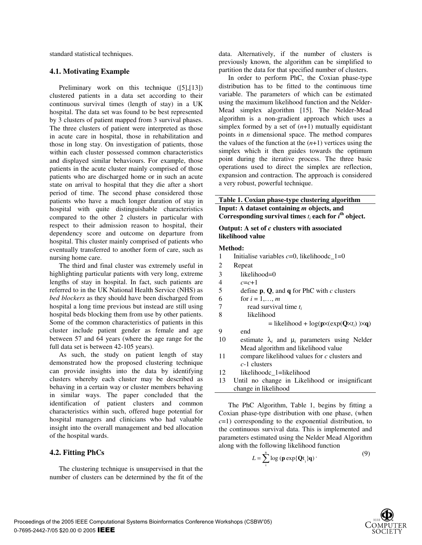standard statistical techniques.

#### **4.1. Motivating Example**

Preliminary work on this technique ([5],[13]) clustered patients in a data set according to their continuous survival times (length of stay) in a UK hospital. The data set was found to be best represented by 3 clusters of patient mapped from 3 survival phases. The three clusters of patient were interpreted as those in acute care in hospital, those in rehabilitation and those in long stay. On investigation of patients, those within each cluster possessed common characteristics and displayed similar behaviours. For example, those patients in the acute cluster mainly comprised of those patients who are discharged home or in such an acute state on arrival to hospital that they die after a short period of time. The second phase considered those patients who have a much longer duration of stay in hospital with quite distinguishable characteristics compared to the other 2 clusters in particular with respect to their admission reason to hospital, their dependency score and outcome on departure from hospital. This cluster mainly comprised of patients who eventually transferred to another form of care, such as nursing home care.

The third and final cluster was extremely useful in highlighting particular patients with very long, extreme lengths of stay in hospital. In fact, such patients are referred to in the UK National Health Service (NHS) as *bed blockers* as they should have been discharged from hospital a long time previous but instead are still using hospital beds blocking them from use by other patients. Some of the common characteristics of patients in this cluster include patient gender as female and age between 57 and 64 years (where the age range for the full data set is between 42-105 years).

As such, the study on patient length of stay demonstrated how the proposed clustering technique can provide insights into the data by identifying clusters whereby each cluster may be described as behaving in a certain way or cluster members behaving in similar ways. The paper concluded that the identification of patient clusters and common characteristics within such, offered huge potential for hospital managers and clinicians who had valuable insight into the overall management and bed allocation of the hospital wards.

### **4.2. Fitting PhCs**

The clustering technique is unsupervised in that the number of clusters can be determined by the fit of the data. Alternatively, if the number of clusters is previously known, the algorithm can be simplified to partition the data for that specified number of clusters.

In order to perform PhC, the Coxian phase-type distribution has to be fitted to the continuous time variable. The parameters of which can be estimated using the maximum likelihood function and the Nelder-Mead simplex algorithm [15]. The Nelder-Mead algorithm is a non-gradient approach which uses a simplex formed by a set of  $(n+1)$  mutually equidistant points in *n* dimensional space. The method compares the values of the function at the  $(n+1)$  vertices using the simplex which it then guides towards the optimum point during the iterative process. The three basic operations used to direct the simplex are reflection, expansion and contraction. The approach is considered a very robust, powerful technique.

# **Table 1. Coxian phase-type clustering algorithm Input: A dataset containing** *m* **objects, and**  Corresponding survival times  $t_i$  each for  $i^{\text{th}}$  object.

#### **Output: A set of** *c* **clusters with associated likelihood value**

#### **Method:**

- 1 Initialise variables  $c=0$ , likelihoodc\_1=0
- 2 Repeat
- 3 likelihood=0
- 4 *c*=*c*+1
- 5 define **p**, **Q**, and **q** for PhC with *c* clusters
- 6 for  $i = 1,..., m$
- 7 read survival time *ti*
- 8 likelihood
	- $=$  likelihood + log( $\mathbf{p} \times (\exp(\mathbf{Q} \times t_i)) \times \mathbf{q}$ )
- 9 end
- 10 estimate  $\lambda_i$  and  $\mu_i$  parameters using Nelder Mead algorithm and likelihood value
- 11 compare likelihood values for *c* clusters and *c*-1 clusters
- 12 likelihoodc\_1=likelihood
- 13 Until no change in Likelihood or insignificant change in likelihood

The PhC Algorithm, Table 1, begins by fitting a Coxian phase-type distribution with one phase, (when  $c=1$ ) corresponding to the exponential distribution, to the continuous survival data. This is implemented and parameters estimated using the Nelder Mead Algorithm along with the following likelihood function

$$
L = \sum_{i}^{n} \log \left( \mathbf{p} \exp\{\mathbf{Q} t_{i}\} \mathbf{q} \right).
$$
 (9)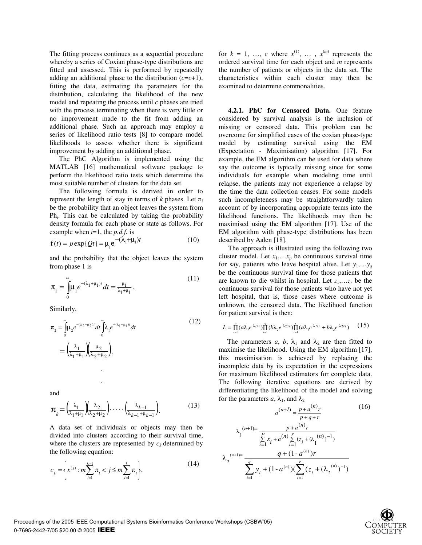The fitting process continues as a sequential procedure whereby a series of Coxian phase-type distributions are fitted and assessed. This is performed by repeatedly adding an additional phase to the distribution  $(c=c+1)$ , fitting the data, estimating the parameters for the distribution, calculating the likelihood of the new model and repeating the process until *c* phases are tried with the process terminating when there is very little or no improvement made to the fit from adding an additional phase. Such an approach may employ a series of likelihood ratio tests [8] to compare model likelihoods to assess whether there is significant improvement by adding an additional phase.

The PhC Algorithm is implemented using the MATLAB [16] mathematical software package to perform the likelihood ratio tests which determine the most suitable number of clusters for the data set.

The following formula is derived in order to represent the length of stay in terms of *k* phases. Let π*<sup>i</sup>* be the probability that an object leaves the system from Ph*i*. This can be calculated by taking the probability density formula for each phase or state as follows. For example when *i*=1, the *p.d.f.* is

$$
f(t) = p \exp\{Qt\} = \mu_1 e^{-(\lambda_1 + \mu_1)t}
$$
 (10)

and the probability that the object leaves the system from phase 1 is

$$
\pi_1 = \int_0^\infty \mu_1 e^{-(\lambda_1 + \mu_1)t} dt = \frac{\mu_1}{\lambda_1 + \mu_1} \,. \tag{11}
$$

Similarly,

$$
\pi_2 = \int_0^\infty \mu_2 e^{-(\lambda_2 + \mu_2)t} dt \int_0^\infty \lambda_1 e^{-(\lambda_1 + \mu_1)t} dt
$$
\n
$$
= \left(\frac{\lambda_1}{\lambda_1 + \mu_1}\right) \left(\frac{\mu_2}{\lambda_2 + \mu_2}\right),
$$
\n(12)

and

.

$$
\pi_{k} = \left(\frac{\lambda_{1}}{\lambda_{1} + \mu_{1}}\right)\left(\frac{\lambda_{2}}{\lambda_{2} + \mu_{2}}\right)\cdots\left(\frac{\lambda_{k-1}}{\lambda_{k-1} + \mu_{k-1}}\right). \tag{13}
$$

A data set of individuals or objects may then be divided into clusters according to their survival time, where the clusters are represented by  $c_k$  determined by the following equation:

$$
c_{k} = \left\{ x^{(j)} : m \sum_{i=1}^{k-1} \pi_{i} < j \leq m \sum_{i=1}^{k} \pi_{i} \right\},\tag{14}
$$

for  $k = 1, \ldots, c$  where  $x^{(1)}, \ldots, x^{(m)}$  represents the ordered survival time for each object and *m* represents the number of patients or objects in the data set. The characteristics within each cluster may then be examined to determine commonalities.

**4.2.1. PhC for Censored Data.** One feature considered by survival analysis is the inclusion of missing or censored data. This problem can be overcome for simplified cases of the coxian phase-type model by estimating survival using the EM (Expectation - Maximisation) algorithm [17]. For example, the EM algorithm can be used for data where say the outcome is typically missing since for some individuals for example when modeling time until relapse, the patients may not experience a relapse by the time the data collection ceases. For some models such incompleteness may be straightforwardly taken account of by incorporating appropriate terms into the likelihood functions. The likelihoods may then be maximised using the EM algorithm [17]. Use of the EM algorithm with phase-type distributions has been described by Aalen [18].

The approach is illustrated using the following two cluster model. Let  $x_1, \ldots, x_p$  be continuous survival time for say, patients who leave hospital alive. Let  $y_1, \ldots, y_q$ be the continuous survival time for those patients that are known to die whilst in hospital. Let  $z_1, \ldots, z_r$  be the continuous survival for those patients who have not yet left hospital, that is, those cases where outcome is unknown, the censored data. The likelihood function for patient survival is then:

$$
L = \prod_{i=1}^{p} (a\lambda_i e^{-\lambda_i x_i}) \prod_{i=1}^{q} (b\lambda_i e^{-\lambda_i x_i}) \prod_{i=1}^{r} (a\lambda_i e^{-\lambda_i x_i} + b\lambda_i e^{-\lambda_i x_i}) \qquad (15)
$$

The parameters *a*, *b*,  $\lambda_1$  and  $\lambda_2$  are then fitted to maximise the likelihood. Using the EM algorithm [17], this maximisation is achieved by replacing the incomplete data by its expectation in the expressions for maximum likelihood estimators for complete data. The following iterative equations are derived by differentiating the likelihood of the model and solving for the parameters *a*,  $\lambda_1$ , and  $\lambda_2$ 

$$
a^{(n+1)} = \frac{p + a^{(n)}r}{p + q + r}
$$
(16)  

$$
\lambda_1^{(n+1)} = \frac{p + a^{(n)}r}{\sum_{i=1}^{p} x_i + a^{(n)} \sum_{i=1}^{r} (z_i + (\lambda_1^{(n)})^{-1})}
$$
  

$$
\lambda_2^{(n+1)} = \frac{q + (1 - a^{(n)})r}{\sum_{i=1}^{q} y_i + (1 - a^{(n)}) (\sum_{i=1}^{r} (z_i + (\lambda_2^{(n)})^{-1})}
$$

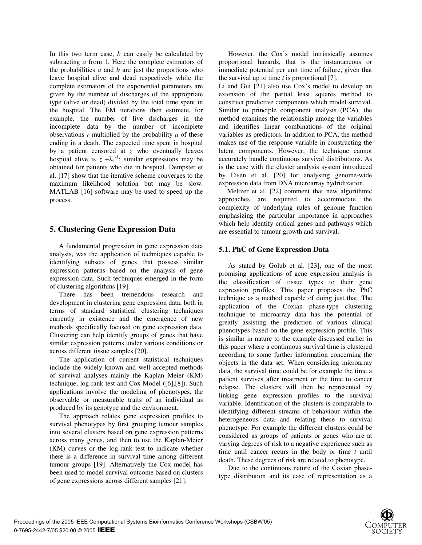In this two term case, *b* can easily be calculated by subtracting *a* from 1. Here the complete estimators of the probabilities *a* and *b* are just the proportions who leave hospital alive and dead respectively while the complete estimators of the exponential parameters are given by the number of discharges of the appropriate type (alive or dead) divided by the total time spent in the hospital. The EM iterations then estimate, for example, the number of live discharges in the incomplete data by the number of incomplete observations *r* multiplied by the probability *a* of these ending in a death. The expected time spent in hospital by a patient censored at *z* who eventually leaves hospital alive is  $z + \lambda_1^{-1}$ ; similar expressions may be obtained for patients who die in hospital. Dempster et al. [17] show that the iterative scheme converges to the maximum likelihood solution but may be slow. MATLAB [16] software may be used to speed up the process.

# **5. Clustering Gene Expression Data**

A fundamental progression in gene expression data analysis, was the application of techniques capable to identifying subsets of genes that possess similar expression patterns based on the analysis of gene expression data. Such techniques emerged in the form of clustering algorithms [19].

There has been tremendous research and development in clustering gene expression data, both in terms of standard statistical clustering techniques currently in existence and the emergence of new methods specifically focused on gene expression data. Clustering can help identify groups of genes that have similar expression patterns under various conditions or across different tissue samples [20].

The application of current statistical techniques include the widely known and well accepted methods of survival analyses mainly the Kaplan Meier (KM) technique, log-rank test and Cox Model ([6],[8]). Such applications involve the modeling of phenotypes, the observable or measurable traits of an individual as produced by its genotype and the environment.

The approach relates gene expression profiles to survival phenotypes by first grouping tumour samples into several clusters based on gene expression patterns across many genes, and then to use the Kaplan-Meier (KM) curves or the log-rank test to indicate whether there is a difference in survival time among different tumour groups [19]. Alternatively the Cox model has been used to model survival outcome based on clusters of gene expressions across different samples [21].

However, the Cox's model intrinsically assumes proportional hazards, that is the instantaneous or immediate potential per unit time of failure, given that the survival up to time *t* is proportional [7].

Li and Gui [21] also use Cox's model to develop an extension of the partial least squares method to construct predictive components which model survival. Similar to principle component analysis (PCA), the method examines the relationship among the variables and identifies linear combinations of the original variables as predictors. In addition to PCA, the method makes use of the response variable in constructing the latent components. However, the technique cannot accurately handle continuous survival distributions. As is the case with the cluster analysis system introduced by Eisen et al. [20] for analysing genome-wide expression data from DNA microarray hydridization.

Meltzer et al. [22] comment that new algorithmic approaches are required to accommodate the complexity of underlying rules of genome function emphasizing the particular importance in approaches which help identify critical genes and pathways which are essential to tumour growth and survival.

# **5.1. PhC of Gene Expression Data**

As stated by Golub et al. [23], one of the most promising applications of gene expression analysis is the classification of tissue types to their gene expression profiles. This paper proposes the PhC technique as a method capable of doing just that. The application of the Coxian phase-type clustering technique to microarray data has the potential of greatly assisting the prediction of various clinical phenotypes based on the gene expression profile. This is similar in nature to the example discussed earlier in this paper where a continuous survival time is clustered according to some further information concerning the objects in the data set. When considering microarray data, the survival time could be for example the time a patient survives after treatment or the time to cancer relapse. The clusters will then be represented by linking gene expression profiles to the survival variable. Identification of the clusters is comparable to identifying different streams of behaviour within the heterogeneous data and relating these to survival phenotype. For example the different clusters could be considered as groups of patients or genes who are at varying degrees of risk to a negative experience such as time until cancer recurs in the body or time *t* until death. These degrees of risk are related to phenotype.

Due to the continuous nature of the Coxian phasetype distribution and its ease of representation as a

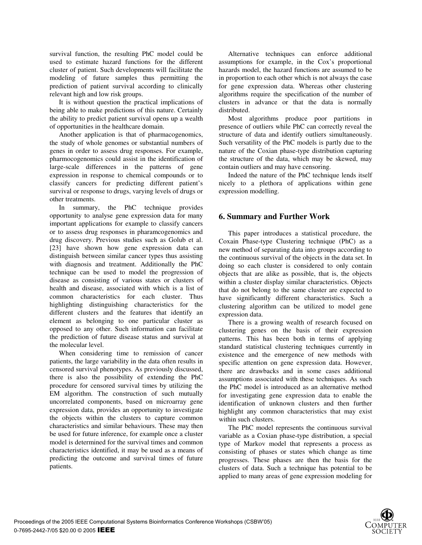survival function, the resulting PhC model could be used to estimate hazard functions for the different cluster of patient. Such developments will facilitate the modeling of future samples thus permitting the prediction of patient survival according to clinically relevant high and low risk groups.

It is without question the practical implications of being able to make predictions of this nature. Certainly the ability to predict patient survival opens up a wealth of opportunities in the healthcare domain.

Another application is that of pharmacogenomics, the study of whole genomes or substantial numbers of genes in order to assess drug responses. For example, pharmocogenomics could assist in the identification of large-scale differences in the patterns of gene expression in response to chemical compounds or to classify cancers for predicting different patient's survival or response to drugs, varying levels of drugs or other treatments.

In summary, the PhC technique provides opportunity to analyse gene expression data for many important applications for example to classify cancers or to assess drug responses in pharamcogenomics and drug discovery. Previous studies such as Golub et al. [23] have shown how gene expression data can distinguish between similar cancer types thus assisting with diagnosis and treatment. Additionally the PhC technique can be used to model the progression of disease as consisting of various states or clusters of health and disease, associated with which is a list of common characteristics for each cluster. Thus highlighting distinguishing characteristics for the different clusters and the features that identify an element as belonging to one particular cluster as opposed to any other. Such information can facilitate the prediction of future disease status and survival at the molecular level.

When considering time to remission of cancer patients, the large variability in the data often results in censored survival phenotypes. As previously discussed, there is also the possibility of extending the PhC procedure for censored survival times by utilizing the EM algorithm. The construction of such mutually uncorrelated components, based on microarray gene expression data, provides an opportunity to investigate the objects within the clusters to capture common characteristics and similar behaviours. These may then be used for future inference, for example once a cluster model is determined for the survival times and common characteristics identified, it may be used as a means of predicting the outcome and survival times of future patients.

Alternative techniques can enforce additional assumptions for example, in the Cox's proportional hazards model, the hazard functions are assumed to be in proportion to each other which is not always the case for gene expression data. Whereas other clustering algorithms require the specification of the number of clusters in advance or that the data is normally distributed.

Most algorithms produce poor partitions in presence of outliers while PhC can correctly reveal the structure of data and identify outliers simultaneously. Such versatility of the PhC models is partly due to the nature of the Coxian phase-type distribution capturing the structure of the data, which may be skewed, may contain outliers and may have censoring.

Indeed the nature of the PhC technique lends itself nicely to a plethora of applications within gene expression modelling.

# **6. Summary and Further Work**

This paper introduces a statistical procedure, the Coxain Phase-type Clustering technique (PhC) as a new method of separating data into groups according to the continuous survival of the objects in the data set. In doing so each cluster is considered to only contain objects that are alike as possible, that is, the objects within a cluster display similar characteristics. Objects that do not belong to the same cluster are expected to have significantly different characteristics. Such a clustering algorithm can be utilized to model gene expression data.

There is a growing wealth of research focused on clustering genes on the basis of their expression patterns. This has been both in terms of applying standard statistical clustering techniques currently in existence and the emergence of new methods with specific attention on gene expression data. However, there are drawbacks and in some cases additional assumptions associated with these techniques. As such the PhC model is introduced as an alternative method for investigating gene expression data to enable the identification of unknown clusters and then further highlight any common characteristics that may exist within such clusters.

The PhC model represents the continuous survival variable as a Coxian phase-type distribution, a special type of Markov model that represents a process as consisting of phases or states which change as time progresses. These phases are then the basis for the clusters of data. Such a technique has potential to be applied to many areas of gene expression modeling for